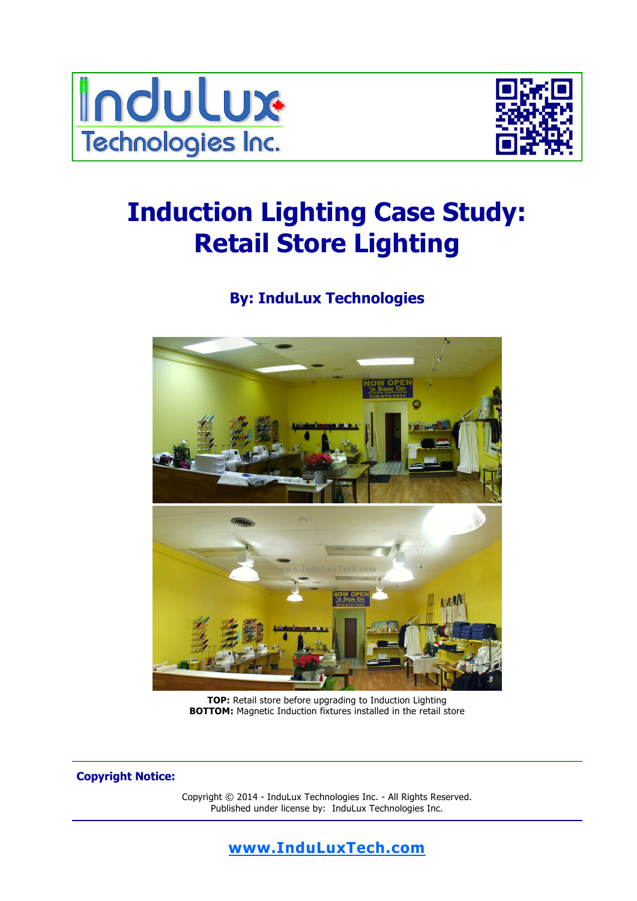



# **Induction Lighting Case Study: Retail Store Lighting**

# **By: InduLux Technologies**



**TOP:** Retail store before upgrading to Induction Lighting **BOTTOM:** Magnetic Induction fixtures installed in the retail store

**Copyright Notice:** 

Copyright © 2014 - InduLux Technologies Inc. - All Rights Reserved. Published under license by: InduLux Technologies Inc.

### **www.InduLuxTech.com**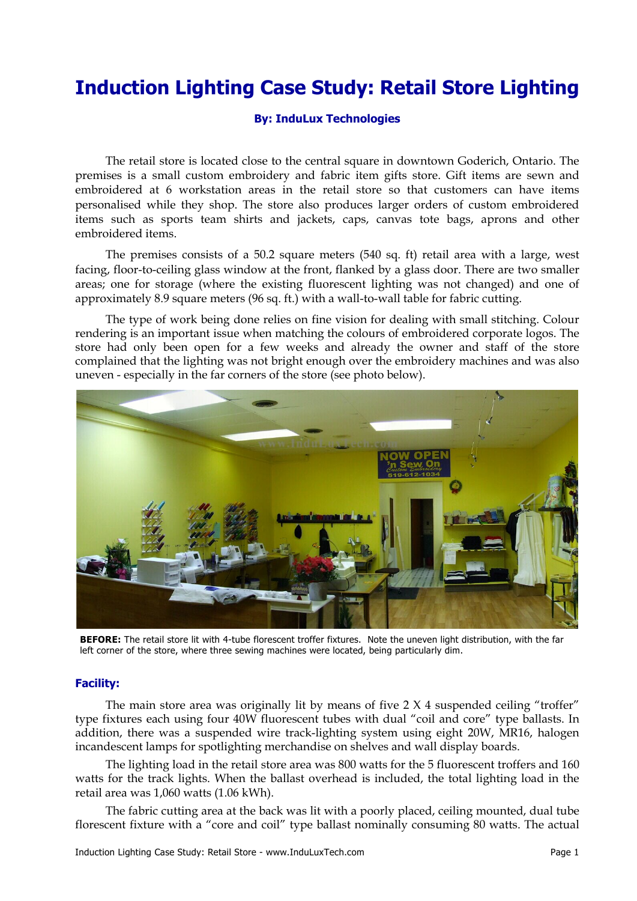# **Induction Lighting Case Study: Retail Store Lighting**

#### **By: InduLux Technologies**

 The retail store is located close to the central square in downtown Goderich, Ontario. The premises is a small custom embroidery and fabric item gifts store. Gift items are sewn and embroidered at 6 workstation areas in the retail store so that customers can have items personalised while they shop. The store also produces larger orders of custom embroidered items such as sports team shirts and jackets, caps, canvas tote bags, aprons and other embroidered items.

 The premises consists of a 50.2 square meters (540 sq. ft) retail area with a large, west facing, floor-to-ceiling glass window at the front, flanked by a glass door. There are two smaller areas; one for storage (where the existing fluorescent lighting was not changed) and one of approximately 8.9 square meters (96 sq. ft.) with a wall-to-wall table for fabric cutting.

 The type of work being done relies on fine vision for dealing with small stitching. Colour rendering is an important issue when matching the colours of embroidered corporate logos. The store had only been open for a few weeks and already the owner and staff of the store complained that the lighting was not bright enough over the embroidery machines and was also uneven - especially in the far corners of the store (see photo below).



**BEFORE:** The retail store lit with 4-tube florescent troffer fixtures. Note the uneven light distribution, with the far left corner of the store, where three sewing machines were located, being particularly dim.

#### **Facility:**

The main store area was originally lit by means of five 2 X 4 suspended ceiling "troffer" type fixtures each using four 40W fluorescent tubes with dual "coil and core" type ballasts. In addition, there was a suspended wire track-lighting system using eight 20W, MR16, halogen incandescent lamps for spotlighting merchandise on shelves and wall display boards.

 The lighting load in the retail store area was 800 watts for the 5 fluorescent troffers and 160 watts for the track lights. When the ballast overhead is included, the total lighting load in the retail area was 1,060 watts (1.06 kWh).

 The fabric cutting area at the back was lit with a poorly placed, ceiling mounted, dual tube florescent fixture with a "core and coil" type ballast nominally consuming 80 watts. The actual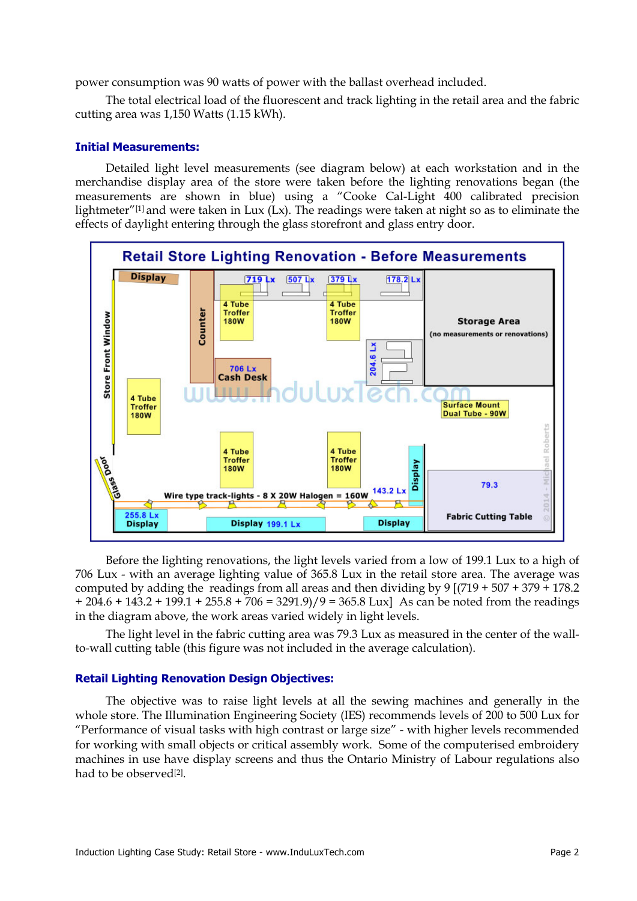power consumption was 90 watts of power with the ballast overhead included.

 The total electrical load of the fluorescent and track lighting in the retail area and the fabric cutting area was 1,150 Watts (1.15 kWh).

#### **Initial Measurements:**

Detailed light level measurements (see diagram below) at each workstation and in the merchandise display area of the store were taken before the lighting renovations began (the measurements are shown in blue) using a "Cooke Cal-Light 400 calibrated precision lightmeter"<sup>[1]</sup> and were taken in Lux (Lx). The readings were taken at night so as to eliminate the effects of daylight entering through the glass storefront and glass entry door.



 Before the lighting renovations, the light levels varied from a low of 199.1 Lux to a high of 706 Lux - with an average lighting value of 365.8 Lux in the retail store area. The average was computed by adding the readings from all areas and then dividing by  $9$  [(719 + 507 + 379 + 178.2)  $+ 204.6 + 143.2 + 199.1 + 255.8 + 706 = 3291.9$ /9 = 365.8 Lux] As can be noted from the readings in the diagram above, the work areas varied widely in light levels.

 The light level in the fabric cutting area was 79.3 Lux as measured in the center of the wallto-wall cutting table (this figure was not included in the average calculation).

#### **Retail Lighting Renovation Design Objectives:**

 The objective was to raise light levels at all the sewing machines and generally in the whole store. The Illumination Engineering Society (IES) recommends levels of 200 to 500 Lux for "Performance of visual tasks with high contrast or large size" - with higher levels recommended for working with small objects or critical assembly work. Some of the computerised embroidery machines in use have display screens and thus the Ontario Ministry of Labour regulations also had to be observed[2].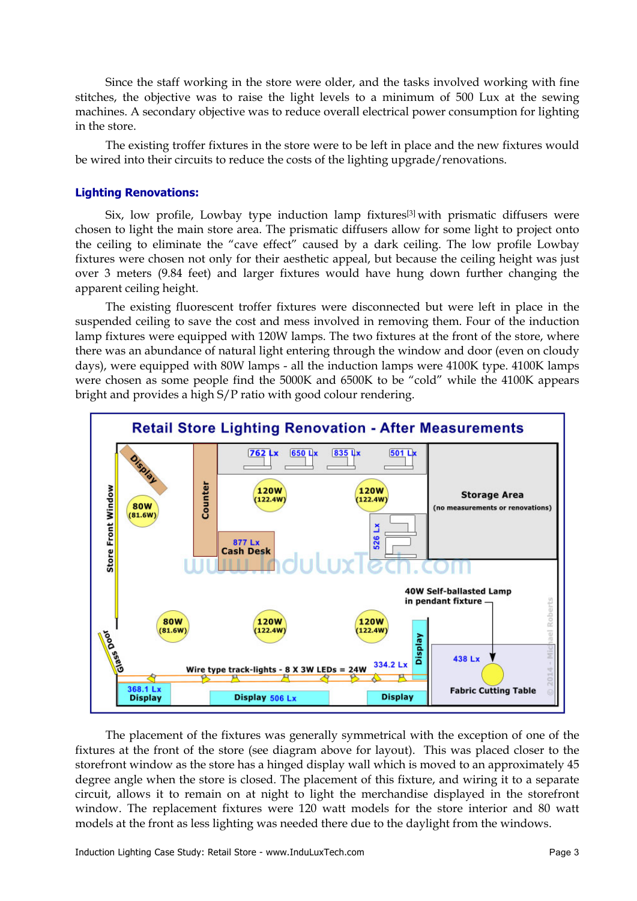Since the staff working in the store were older, and the tasks involved working with fine stitches, the objective was to raise the light levels to a minimum of 500 Lux at the sewing machines. A secondary objective was to reduce overall electrical power consumption for lighting in the store.

 The existing troffer fixtures in the store were to be left in place and the new fixtures would be wired into their circuits to reduce the costs of the lighting upgrade/renovations.

#### **Lighting Renovations:**

 Six, low profile, Lowbay type induction lamp fixtures[3] with prismatic diffusers were chosen to light the main store area. The prismatic diffusers allow for some light to project onto the ceiling to eliminate the "cave effect" caused by a dark ceiling. The low profile Lowbay fixtures were chosen not only for their aesthetic appeal, but because the ceiling height was just over 3 meters (9.84 feet) and larger fixtures would have hung down further changing the apparent ceiling height.

 The existing fluorescent troffer fixtures were disconnected but were left in place in the suspended ceiling to save the cost and mess involved in removing them. Four of the induction lamp fixtures were equipped with 120W lamps. The two fixtures at the front of the store, where there was an abundance of natural light entering through the window and door (even on cloudy days), were equipped with 80W lamps - all the induction lamps were 4100K type. 4100K lamps were chosen as some people find the 5000K and 6500K to be "cold" while the 4100K appears bright and provides a high S/P ratio with good colour rendering.



 The placement of the fixtures was generally symmetrical with the exception of one of the fixtures at the front of the store (see diagram above for layout). This was placed closer to the storefront window as the store has a hinged display wall which is moved to an approximately 45 degree angle when the store is closed. The placement of this fixture, and wiring it to a separate circuit, allows it to remain on at night to light the merchandise displayed in the storefront window. The replacement fixtures were 120 watt models for the store interior and 80 watt models at the front as less lighting was needed there due to the daylight from the windows.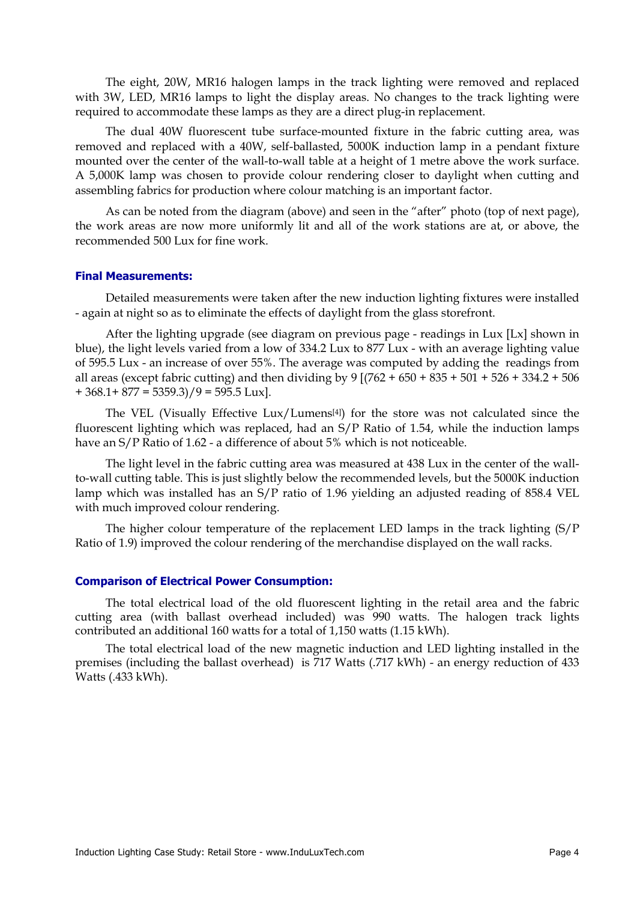The eight, 20W, MR16 halogen lamps in the track lighting were removed and replaced with 3W, LED, MR16 lamps to light the display areas. No changes to the track lighting were required to accommodate these lamps as they are a direct plug-in replacement.

 The dual 40W fluorescent tube surface-mounted fixture in the fabric cutting area, was removed and replaced with a 40W, self-ballasted, 5000K induction lamp in a pendant fixture mounted over the center of the wall-to-wall table at a height of 1 metre above the work surface. A 5,000K lamp was chosen to provide colour rendering closer to daylight when cutting and assembling fabrics for production where colour matching is an important factor.

 As can be noted from the diagram (above) and seen in the "after" photo (top of next page), the work areas are now more uniformly lit and all of the work stations are at, or above, the recommended 500 Lux for fine work.

#### **Final Measurements:**

Detailed measurements were taken after the new induction lighting fixtures were installed - again at night so as to eliminate the effects of daylight from the glass storefront.

 After the lighting upgrade (see diagram on previous page - readings in Lux [Lx] shown in blue), the light levels varied from a low of 334.2 Lux to 877 Lux - with an average lighting value of 595.5 Lux - an increase of over 55%. The average was computed by adding the readings from all areas (except fabric cutting) and then dividing by  $9 [(762 + 650 + 835 + 501 + 526 + 334.2 + 506$  $+368.1+877=5359.3$  $/9=595.5$  Lux].

 The VEL (Visually Effective Lux/Lumens[4]) for the store was not calculated since the fluorescent lighting which was replaced, had an S/P Ratio of 1.54, while the induction lamps have an S/P Ratio of 1.62 - a difference of about 5% which is not noticeable.

 The light level in the fabric cutting area was measured at 438 Lux in the center of the wallto-wall cutting table. This is just slightly below the recommended levels, but the 5000K induction lamp which was installed has an S/P ratio of 1.96 yielding an adjusted reading of 858.4 VEL with much improved colour rendering.

 The higher colour temperature of the replacement LED lamps in the track lighting (S/P Ratio of 1.9) improved the colour rendering of the merchandise displayed on the wall racks.

#### **Comparison of Electrical Power Consumption:**

The total electrical load of the old fluorescent lighting in the retail area and the fabric cutting area (with ballast overhead included) was 990 watts. The halogen track lights contributed an additional 160 watts for a total of 1,150 watts (1.15 kWh).

 The total electrical load of the new magnetic induction and LED lighting installed in the premises (including the ballast overhead) is 717 Watts (.717 kWh) - an energy reduction of 433 Watts (.433 kWh).